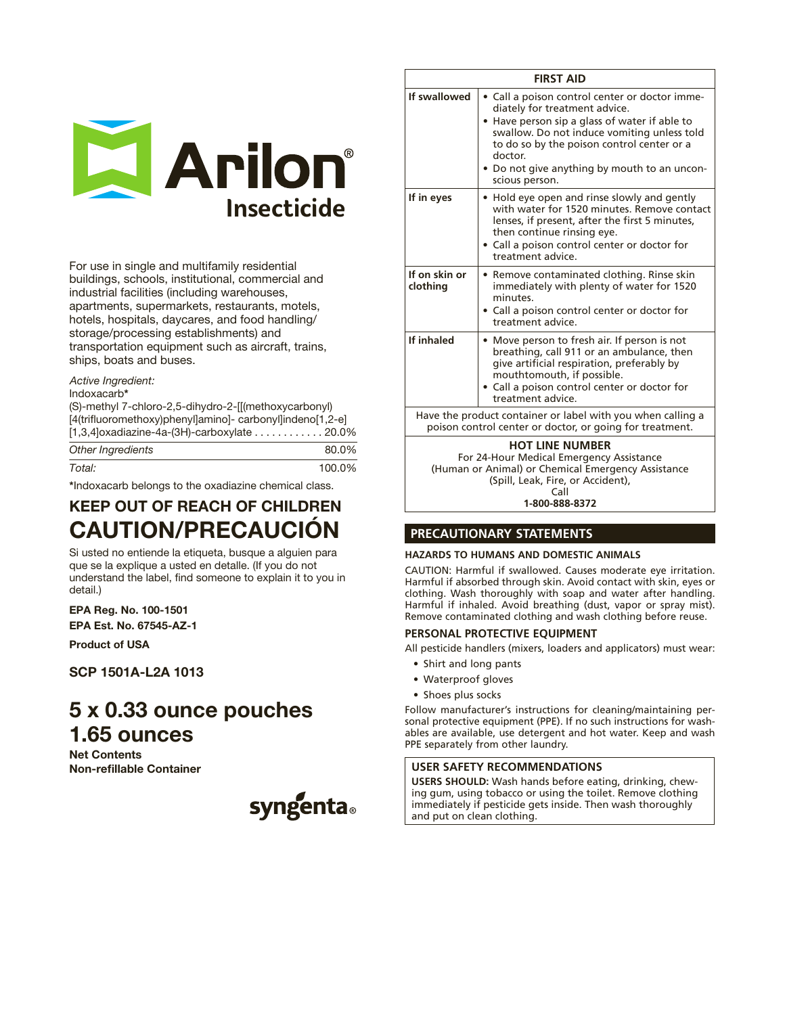

For use in single and multifamily residential buildings, schools, institutional, commercial and industrial facilities (including warehouses, apartments, supermarkets, restaurants, motels, hotels, hospitals, daycares, and food handling/ storage/processing establishments) and transportation equipment such as aircraft, trains, ships, boats and buses.

# *Active Ingredient:*

Indoxacarb\*

(S)-methyl 7-chloro-2,5-dihydro-2-[[(methoxycarbonyl) [4(trifluoromethoxy)phenyl]amino]- carbonyl]indeno[1,2-e] [1,3,4]oxadiazine-4a-(3H)-carboxylate . . . . . . . . . . . . 20.0%

| Other Ingredients   |  | 80.0%   |
|---------------------|--|---------|
| $T_{\alpha}$ is $L$ |  | 100.001 |

*Total:* 100.0%

\*Indoxacarb belongs to the oxadiazine chemical class.

# KEEP OUT OF REACH OF CHILDREN CAUTION/PRECAUCIÓN

Si usted no entiende la etiqueta, busque a alguien para que se la explique a usted en detalle. (If you do not understand the label, find someone to explain it to you in detail.)

EPA Reg. No. 100-1501 EPA Est. No. 67545-AZ-1

Product of USA

SCP 1501A-L2A 1013

# 5 x 0.33 ounce pouches 1.65 ounces

Net Contents Non-refillable Container



| <b>FIRST AID</b>          |                                                                                                                                                                                                                                                                                                           |  |  |
|---------------------------|-----------------------------------------------------------------------------------------------------------------------------------------------------------------------------------------------------------------------------------------------------------------------------------------------------------|--|--|
| If swallowed              | • Call a poison control center or doctor imme-<br>diately for treatment advice.<br>• Have person sip a glass of water if able to<br>swallow. Do not induce vomiting unless told<br>to do so by the poison control center or a<br>doctor<br>• Do not give anything by mouth to an uncon-<br>scious person. |  |  |
| If in eyes                | • Hold eye open and rinse slowly and gently<br>with water for 1520 minutes. Remove contact<br>lenses, if present, after the first 5 minutes,<br>then continue rinsing eye.<br>• Call a poison control center or doctor for<br>treatment advice.                                                           |  |  |
| If on skin or<br>clothing | • Remove contaminated clothing. Rinse skin<br>immediately with plenty of water for 1520<br>minutes.<br>Call a poison control center or doctor for<br>treatment advice.                                                                                                                                    |  |  |
| If inhaled                | • Move person to fresh air. If person is not<br>breathing, call 911 or an ambulance, then<br>give artificial respiration, preferably by<br>mouthtomouth, if possible.<br>• Call a poison control center or doctor for<br>treatment advice.                                                                |  |  |
|                           | Have the product container or label with you when calling a<br>poison control center or doctor, or going for treatment.                                                                                                                                                                                   |  |  |
|                           | <b>HOT LINE NUMBER</b><br>For 24-Hour Medical Emergency Assistance<br>(Human or Animal) or Chemical Emergency Assistance<br>(Spill, Leak, Fire, or Accident),                                                                                                                                             |  |  |

Call **1-800-888-8372**

# **PRECAUTIONARY STATEMENTS**

# **HAZARDS TO HUMANS AND DOMESTIC ANIMALS**

CAUTION: Harmful if swallowed. Causes moderate eye irritation. Harmful if absorbed through skin. Avoid contact with skin, eyes or clothing. Wash thoroughly with soap and water after handling. Harmful if inhaled. Avoid breathing (dust, vapor or spray mist). Remove contaminated clothing and wash clothing before reuse.

# **PERSONAL PROTECTIVE EQUIPMENT**

All pesticide handlers (mixers, loaders and applicators) must wear:

- • Shirt and long pants
- • Waterproof gloves
- Shoes plus socks

Follow manufacturer's instructions for cleaning/maintaining personal protective equipment (PPE). If no such instructions for washables are available, use detergent and hot water. Keep and wash PPE separately from other laundry.

# **USER SAFETY RECOMMENDATIONS**

**USERS SHOULD:** Wash hands before eating, drinking, chewing gum, using tobacco or using the toilet. Remove clothing immediately if pesticide gets inside. Then wash thoroughly and put on clean clothing.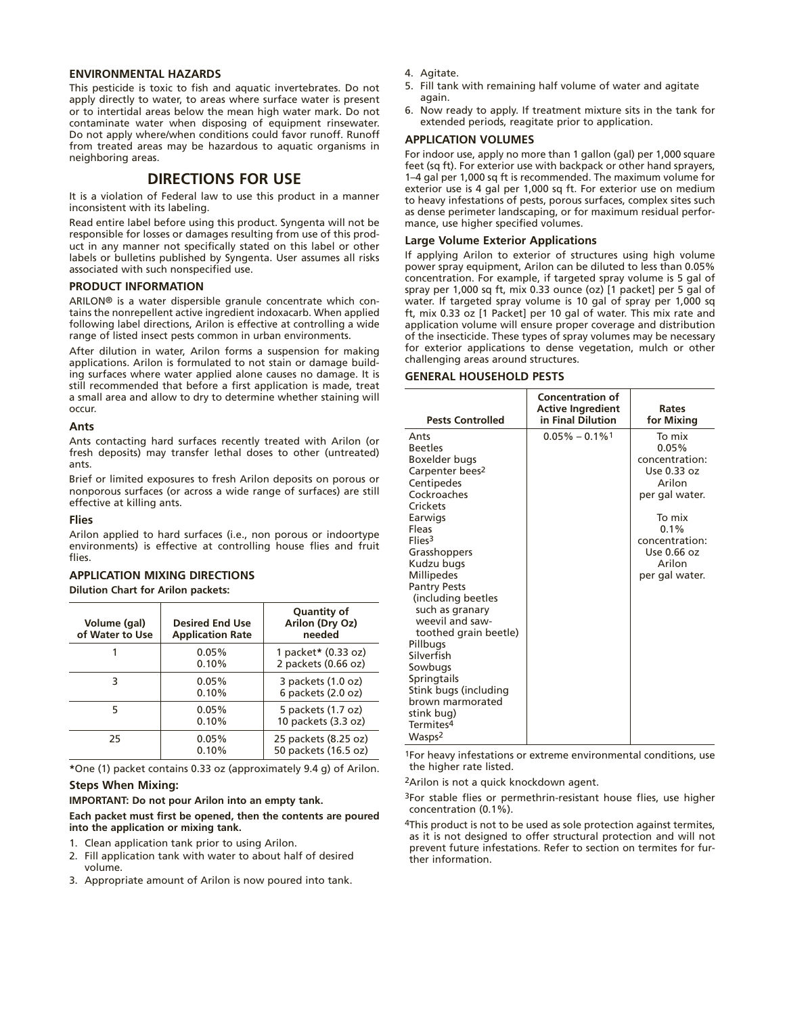# **ENVIRONMENTAL HAZARDS**

This pesticide is toxic to fish and aquatic invertebrates. Do not apply directly to water, to areas where surface water is present or to intertidal areas below the mean high water mark. Do not contaminate water when disposing of equipment rinsewater. Do not apply where/when conditions could favor runoff. Runoff from treated areas may be hazardous to aquatic organisms in neighboring areas.

# **DIRECTIONS FOR USE**

It is a violation of Federal law to use this product in a manner inconsistent with its labeling.

Read entire label before using this product. Syngenta will not be responsible for losses or damages resulting from use of this product in any manner not specifically stated on this label or other labels or bulletins published by Syngenta. User assumes all risks associated with such nonspecified use.

# **PRODUCT INFORMATION**

ARILON® is a water dispersible granule concentrate which contains the nonrepellent active ingredient indoxacarb. When applied following label directions, Arilon is effective at controlling a wide range of listed insect pests common in urban environments.

After dilution in water, Arilon forms a suspension for making applications. Arilon is formulated to not stain or damage building surfaces where water applied alone causes no damage. It is still recommended that before a first application is made, treat a small area and allow to dry to determine whether staining will occur.

## **Ants**

Ants contacting hard surfaces recently treated with Arilon (or fresh deposits) may transfer lethal doses to other (untreated) ants.

Brief or limited exposures to fresh Arilon deposits on porous or nonporous surfaces (or across a wide range of surfaces) are still effective at killing ants.

## **Flies**

Arilon applied to hard surfaces (i.e., non porous or indoortype environments) is effective at controlling house flies and fruit flies.

# **APPLICATION MIXING DIRECTIONS Dilution Chart for Arilon packets:**

| Volume (gal)<br>of Water to Use | <b>Desired End Use</b><br><b>Application Rate</b> | <b>Quantity of</b><br>Arilon (Dry Oz)<br>needed |
|---------------------------------|---------------------------------------------------|-------------------------------------------------|
|                                 | 0.05%<br>0.10%                                    | 1 packet* (0.33 oz)<br>2 packets $(0.66 oz)$    |
| 3                               | 0.05%<br>0.10%                                    | 3 packets (1.0 oz)<br>6 packets (2.0 oz)        |
| 5                               | 0.05%<br>0.10%                                    | 5 packets (1.7 oz)<br>10 packets (3.3 oz)       |
| 25                              | 0.05%<br>0.10%                                    | 25 packets (8.25 oz)<br>50 packets (16.5 oz)    |

**\***One (1) packet contains 0.33 oz (approximately 9.4 g) of Arilon. **Steps When Mixing:**

# **IMPORTANT: Do not pour Arilon into an empty tank.**

**Each packet must first be opened, then the contents are poured into the application or mixing tank.**

- 1. Clean application tank prior to using Arilon.
- 2. Fill application tank with water to about half of desired volume.
- 3. Appropriate amount of Arilon is now poured into tank.
- 4. Agitate.
- 5. Fill tank with remaining half volume of water and agitate again.
- 6. Now ready to apply. If treatment mixture sits in the tank for extended periods, reagitate prior to application.

# **APPLICATION VOLUMES**

For indoor use, apply no more than 1 gallon (gal) per 1,000 square feet (sq ft). For exterior use with backpack or other hand sprayers, 1–4 gal per 1,000 sq ft is recommended. The maximum volume for exterior use is 4 gal per 1,000 sq ft. For exterior use on medium to heavy infestations of pests, porous surfaces, complex sites such as dense perimeter landscaping, or for maximum residual performance, use higher specified volumes.

# **Large Volume Exterior Applications**

If applying Arilon to exterior of structures using high volume power spray equipment, Arilon can be diluted to less than 0.05% concentration. For example, if targeted spray volume is 5 gal of spray per 1,000 sq ft, mix 0.33 ounce (oz) [1 packet] per 5 gal of water. If targeted spray volume is 10 gal of spray per 1,000 sq ft, mix 0.33 oz [1 Packet] per 10 gal of water. This mix rate and application volume will ensure proper coverage and distribution of the insecticide. These types of spray volumes may be necessary for exterior applications to dense vegetation, mulch or other challenging areas around structures.

# **GENERAL HOUSEHOLD PESTS**

| <b>Pests Controlled</b>                                                                                                                                                                                                                                                                                                                                                                                                                                                                | <b>Concentration of</b><br><b>Active Ingredient</b><br>in Final Dilution | Rates<br>for Mixing                                                                                                                                         |
|----------------------------------------------------------------------------------------------------------------------------------------------------------------------------------------------------------------------------------------------------------------------------------------------------------------------------------------------------------------------------------------------------------------------------------------------------------------------------------------|--------------------------------------------------------------------------|-------------------------------------------------------------------------------------------------------------------------------------------------------------|
| Ants<br><b>Beetles</b><br>Boxelder bugs<br>Carpenter bees <sup>2</sup><br>Centipedes<br>Cockroaches<br>Crickets<br>Earwigs<br>Fleas<br>Flies <sup>3</sup><br>Grasshoppers<br>Kudzu bugs<br><b>Millipedes</b><br><b>Pantry Pests</b><br>(including beetles<br>such as granary<br>weevil and saw-<br>toothed grain beetle)<br>Pillbugs<br>Silverfish<br>Sowbugs<br>Springtails<br>Stink bugs (including<br>brown marmorated<br>stink bug)<br>Termites <sup>4</sup><br>Wasps <sup>2</sup> | $0.05\% - 0.1\%$ <sup>1</sup>                                            | To mix<br>0.05%<br>concentration:<br>Use 0.33 oz<br>Arilon<br>per gal water.<br>To mix<br>0.1%<br>concentration:<br>Use 0.66 oz<br>Arilon<br>per gal water. |

1For heavy infestations or extreme environmental conditions, use the higher rate listed.

2Arilon is not a quick knockdown agent.

<sup>3</sup>For stable flies or permethrin-resistant house flies, use higher concentration (0.1%).

<sup>4</sup>This product is not to be used as sole protection against termites, as it is not designed to offer structural protection and will not prevent future infestations. Refer to section on termites for further information.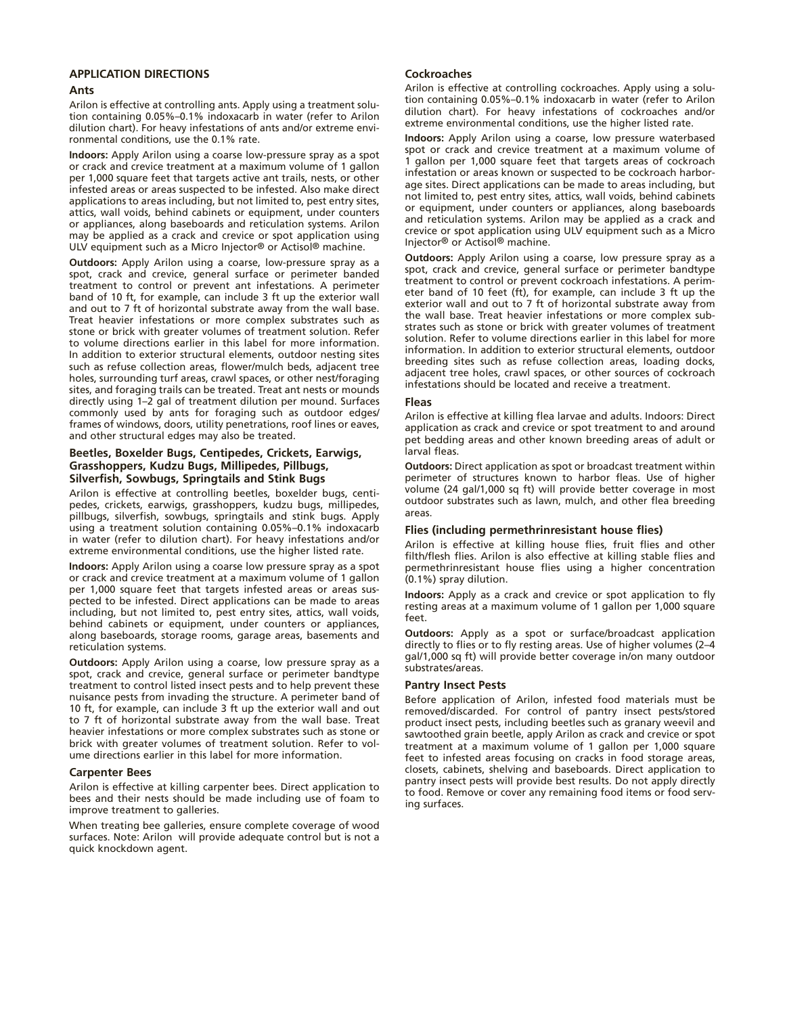# **APPLICATION DIRECTIONS**

# **Ants**

Arilon is effective at controlling ants. Apply using a treatment solution containing 0.05%–0.1% indoxacarb in water (refer to Arilon dilution chart). For heavy infestations of ants and/or extreme environmental conditions, use the 0.1% rate.

**Indoors:** Apply Arilon using a coarse low-pressure spray as a spot or crack and crevice treatment at a maximum volume of 1 gallon per 1,000 square feet that targets active ant trails, nests, or other infested areas or areas suspected to be infested. Also make direct applications to areas including, but not limited to, pest entry sites, attics, wall voids, behind cabinets or equipment, under counters or appliances, along baseboards and reticulation systems. Arilon may be applied as a crack and crevice or spot application using ULV equipment such as a Micro Injector® or Actisol® machine.

**Outdoors:** Apply Arilon using a coarse, low-pressure spray as a spot, crack and crevice, general surface or perimeter banded treatment to control or prevent ant infestations. A perimeter band of 10 ft, for example, can include 3 ft up the exterior wall and out to 7 ft of horizontal substrate away from the wall base. Treat heavier infestations or more complex substrates such as stone or brick with greater volumes of treatment solution. Refer to volume directions earlier in this label for more information. In addition to exterior structural elements, outdoor nesting sites such as refuse collection areas, flower/mulch beds, adjacent tree holes, surrounding turf areas, crawl spaces, or other nest/foraging sites, and foraging trails can be treated. Treat ant nests or mounds directly using 1–2 gal of treatment dilution per mound. Surfaces commonly used by ants for foraging such as outdoor edges/ frames of windows, doors, utility penetrations, roof lines or eaves, and other structural edges may also be treated.

# **Beetles, Boxelder Bugs, Centipedes, Crickets, Earwigs, Grasshoppers, Kudzu Bugs, Millipedes, Pillbugs, Silverfish, Sowbugs, Springtails and Stink Bugs**

Arilon is effective at controlling beetles, boxelder bugs, centipedes, crickets, earwigs, grasshoppers, kudzu bugs, millipedes, pillbugs, silverfish, sowbugs, springtails and stink bugs. Apply using a treatment solution containing 0.05%–0.1% indoxacarb in water (refer to dilution chart). For heavy infestations and/or extreme environmental conditions, use the higher listed rate.

**Indoors:** Apply Arilon using a coarse low pressure spray as a spot or crack and crevice treatment at a maximum volume of 1 gallon per 1,000 square feet that targets infested areas or areas suspected to be infested. Direct applications can be made to areas including, but not limited to, pest entry sites, attics, wall voids, behind cabinets or equipment, under counters or appliances, along baseboards, storage rooms, garage areas, basements and reticulation systems.

**Outdoors:** Apply Arilon using a coarse, low pressure spray as a spot, crack and crevice, general surface or perimeter bandtype treatment to control listed insect pests and to help prevent these nuisance pests from invading the structure. A perimeter band of 10 ft, for example, can include 3 ft up the exterior wall and out to 7 ft of horizontal substrate away from the wall base. Treat heavier infestations or more complex substrates such as stone or brick with greater volumes of treatment solution. Refer to volume directions earlier in this label for more information.

## **Carpenter Bees**

Arilon is effective at killing carpenter bees. Direct application to bees and their nests should be made including use of foam to improve treatment to galleries.

When treating bee galleries, ensure complete coverage of wood surfaces. Note: Arilon will provide adequate control but is not a quick knockdown agent.

# **Cockroaches**

Arilon is effective at controlling cockroaches. Apply using a solution containing 0.05%–0.1% indoxacarb in water (refer to Arilon dilution chart). For heavy infestations of cockroaches and/or extreme environmental conditions, use the higher listed rate.

**Indoors:** Apply Arilon using a coarse, low pressure waterbased spot or crack and crevice treatment at a maximum volume of 1 gallon per 1,000 square feet that targets areas of cockroach infestation or areas known or suspected to be cockroach harborage sites. Direct applications can be made to areas including, but not limited to, pest entry sites, attics, wall voids, behind cabinets or equipment, under counters or appliances, along baseboards and reticulation systems. Arilon may be applied as a crack and crevice or spot application using ULV equipment such as a Micro Injector® or Actisol® machine.

**Outdoors:** Apply Arilon using a coarse, low pressure spray as a spot, crack and crevice, general surface or perimeter bandtype treatment to control or prevent cockroach infestations. A perimeter band of 10 feet (ft), for example, can include 3 ft up the exterior wall and out to 7 ft of horizontal substrate away from the wall base. Treat heavier infestations or more complex substrates such as stone or brick with greater volumes of treatment solution. Refer to volume directions earlier in this label for more information. In addition to exterior structural elements, outdoor breeding sites such as refuse collection areas, loading docks, adjacent tree holes, crawl spaces, or other sources of cockroach infestations should be located and receive a treatment.

## **Fleas**

Arilon is effective at killing flea larvae and adults. Indoors: Direct application as crack and crevice or spot treatment to and around pet bedding areas and other known breeding areas of adult or larval fleas.

**Outdoors:** Direct application as spot or broadcast treatment within perimeter of structures known to harbor fleas. Use of higher volume (24 gal/1,000 sq ft) will provide better coverage in most outdoor substrates such as lawn, mulch, and other flea breeding areas.

## **Flies (including permethrinresistant house flies)**

Arilon is effective at killing house flies, fruit flies and other filth/flesh flies. Arilon is also effective at killing stable flies and permethrinresistant house flies using a higher concentration (0.1%) spray dilution.

**Indoors:** Apply as a crack and crevice or spot application to fly resting areas at a maximum volume of 1 gallon per 1,000 square feet.

**Outdoors:** Apply as a spot or surface/broadcast application directly to flies or to fly resting areas. Use of higher volumes (2–4 gal/1,000 sq ft) will provide better coverage in/on many outdoor substrates/areas.

## **Pantry Insect Pests**

Before application of Arilon, infested food materials must be removed/discarded. For control of pantry insect pests/stored product insect pests, including beetles such as granary weevil and sawtoothed grain beetle, apply Arilon as crack and crevice or spot treatment at a maximum volume of 1 gallon per 1,000 square feet to infested areas focusing on cracks in food storage areas, closets, cabinets, shelving and baseboards. Direct application to pantry insect pests will provide best results. Do not apply directly to food. Remove or cover any remaining food items or food serving surfaces.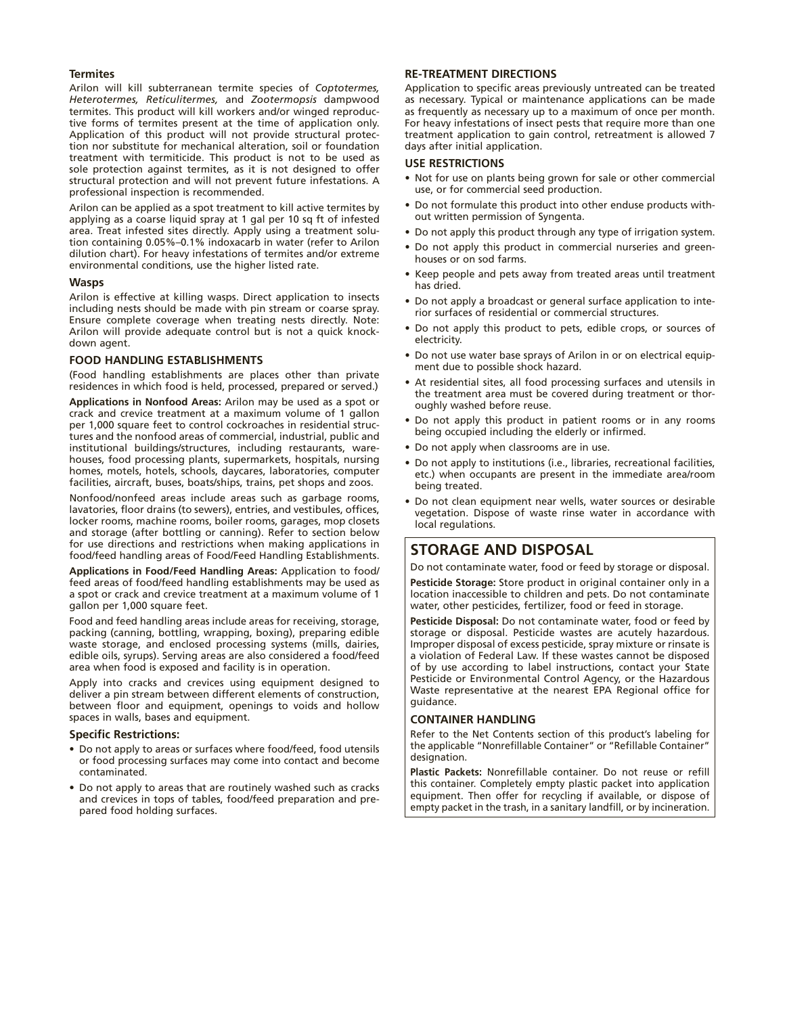# **Termites**

Arilon will kill subterranean termite species of *Coptotermes, Heterotermes, Reticulitermes,* and *Zootermopsis* dampwood termites. This product will kill workers and/or winged reproductive forms of termites present at the time of application only. Application of this product will not provide structural protection nor substitute for mechanical alteration, soil or foundation treatment with termiticide. This product is not to be used as sole protection against termites, as it is not designed to offer structural protection and will not prevent future infestations. A professional inspection is recommended.

Arilon can be applied as a spot treatment to kill active termites by applying as a coarse liquid spray at 1 gal per 10 sq ft of infested area. Treat infested sites directly. Apply using a treatment solution containing 0.05%–0.1% indoxacarb in water (refer to Arilon dilution chart). For heavy infestations of termites and/or extreme environmental conditions, use the higher listed rate.

## **Wasps**

Arilon is effective at killing wasps. Direct application to insects including nests should be made with pin stream or coarse spray. Ensure complete coverage when treating nests directly. Note: Arilon will provide adequate control but is not a quick knockdown agent.

## **FOOD HANDLING ESTABLISHMENTS**

(Food handling establishments are places other than private residences in which food is held, processed, prepared or served.)

**Applications in Nonfood Areas:** Arilon may be used as a spot or crack and crevice treatment at a maximum volume of 1 gallon per 1,000 square feet to control cockroaches in residential structures and the nonfood areas of commercial, industrial, public and institutional buildings/structures, including restaurants, warehouses, food processing plants, supermarkets, hospitals, nursing homes, motels, hotels, schools, daycares, laboratories, computer facilities, aircraft, buses, boats/ships, trains, pet shops and zoos.

Nonfood/nonfeed areas include areas such as garbage rooms, lavatories, floor drains (to sewers), entries, and vestibules, offices, locker rooms, machine rooms, boiler rooms, garages, mop closets and storage (after bottling or canning). Refer to section below for use directions and restrictions when making applications in food/feed handling areas of Food/Feed Handling Establishments.

**Applications in Food/Feed Handling Areas:** Application to food/ feed areas of food/feed handling establishments may be used as a spot or crack and crevice treatment at a maximum volume of 1 gallon per 1,000 square feet.

Food and feed handling areas include areas for receiving, storage, packing (canning, bottling, wrapping, boxing), preparing edible waste storage, and enclosed processing systems (mills, dairies, edible oils, syrups). Serving areas are also considered a food/feed area when food is exposed and facility is in operation.

Apply into cracks and crevices using equipment designed to deliver a pin stream between different elements of construction, between floor and equipment, openings to voids and hollow spaces in walls, bases and equipment.

## **Specific Restrictions:**

- Do not apply to areas or surfaces where food/feed, food utensils or food processing surfaces may come into contact and become contaminated.
- Do not apply to areas that are routinely washed such as cracks and crevices in tops of tables, food/feed preparation and prepared food holding surfaces.

# **RE-TREATMENT DIRECTIONS**

Application to specific areas previously untreated can be treated as necessary. Typical or maintenance applications can be made as frequently as necessary up to a maximum of once per month. For heavy infestations of insect pests that require more than one treatment application to gain control, retreatment is allowed 7 days after initial application.

# **USE RESTRICTIONS**

- Not for use on plants being grown for sale or other commercial use, or for commercial seed production.
- Do not formulate this product into other enduse products without written permission of Syngenta.
- Do not apply this product through any type of irrigation system.
- Do not apply this product in commercial nurseries and greenhouses or on sod farms.
- Keep people and pets away from treated areas until treatment has dried.
- Do not apply a broadcast or general surface application to interior surfaces of residential or commercial structures.
- Do not apply this product to pets, edible crops, or sources of electricity.
- Do not use water base sprays of Arilon in or on electrical equipment due to possible shock hazard.
- At residential sites, all food processing surfaces and utensils in the treatment area must be covered during treatment or thoroughly washed before reuse.
- Do not apply this product in patient rooms or in any rooms being occupied including the elderly or infirmed.
- Do not apply when classrooms are in use.
- Do not apply to institutions (i.e., libraries, recreational facilities, etc.) when occupants are present in the immediate area/room being treated.
- Do not clean equipment near wells, water sources or desirable vegetation. Dispose of waste rinse water in accordance with local regulations.

# **STORAGE AND DISPOSAL**

Do not contaminate water, food or feed by storage or disposal.

**Pesticide Storage:** Store product in original container only in a location inaccessible to children and pets. Do not contaminate water, other pesticides, fertilizer, food or feed in storage.

**Pesticide Disposal:** Do not contaminate water, food or feed by storage or disposal. Pesticide wastes are acutely hazardous. Improper disposal of excess pesticide, spray mixture or rinsate is a violation of Federal Law. If these wastes cannot be disposed of by use according to label instructions, contact your State Pesticide or Environmental Control Agency, or the Hazardous Waste representative at the nearest EPA Regional office for guidance.

# **CONTAINER HANDLING**

Refer to the Net Contents section of this product's labeling for the applicable "Nonrefillable Container" or "Refillable Container" designation.

**Plastic Packets:** Nonrefillable container. Do not reuse or refill this container. Completely empty plastic packet into application equipment. Then offer for recycling if available, or dispose of empty packet in the trash, in a sanitary landfill, or by incineration.